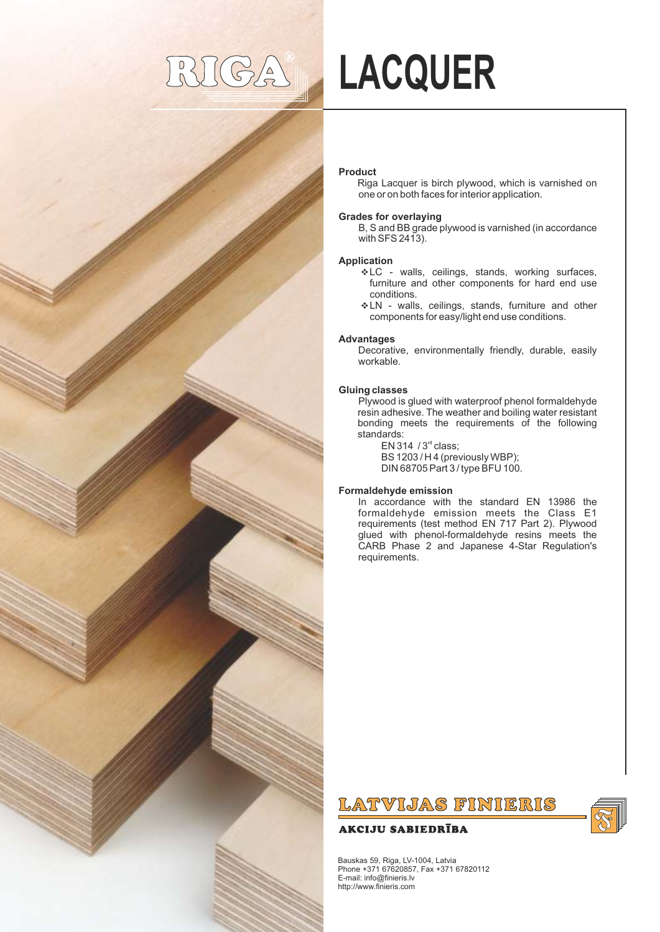## $(GA)$

# **LACQUER**

#### **Product**

Riga Lacquer is birch plywood, which is varnished on one or on both faces for interior application.

#### **Grades for overlaying**

B, S and BB grade plywood is varnished (in accordance with SFS 2413).

#### **Application**

- v LC walls, ceilings, stands, working surfaces, furniture and other components for hard end use conditions.
- vLN walls, ceilings, stands, furniture and other components for easy/light end use conditions.

#### **Advantages**

Decorative, environmentally friendly, durable, easily workable.

#### **Gluing classes**

Plywood is glued with waterproof phenol formaldehyde resin adhesive. The weather and boiling water resistant bonding meets the requirements of the following standards:

EN 314  $/$  3<sup>rd</sup> class; BS 1203 / H 4 (previously WBP); DIN 68705 Part 3 / type BFU 100.

#### **Formaldehyde emission**

In accordance with the standard EN 13986 the formaldehyde emission meets the Class E1 requirements (test method EN 717 Part 2). Plywood glued with phenol-formaldehyde resins meets the CARB Phase 2 and Japanese 4-Star Regulation's requirements.

### LATVIJAS FINIERIS

#### **AKCIJU SABIEDRĪBA**



Bauskas 59, Riga, LV-1004, Latvia Phone +371 67620857, Fax +371 67820112 E-mail: info@finieris.lv http://www.finieris.com